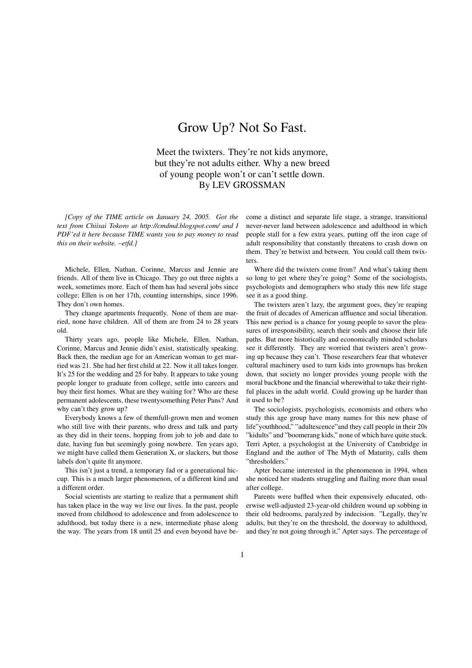# Grow Up? Not So Fast.

Meet the twixters. They're not kids anymore, but they're not adults either. Why a new breed of young people won't or can't settle down. By LEV GROSSMAN

*[Copy of the TIME article on January 24, 2005. Got the text from Chiisai Tokoro at http://cmdmd.blogspot.com/ and I PDF'ed it here because TIME wants you to pay money to read this on their website. –etfd.]*

Michele, Ellen, Nathan, Corinne, Marcus and Jennie are friends. All of them live in Chicago. They go out three nights a week, sometimes more. Each of them has had several jobs since college; Ellen is on her 17th, counting internships, since 1996. They don't own homes.

They change apartments frequently. None of them are married, none have children. All of them are from 24 to 28 years old.

Thirty years ago, people like Michele, Ellen, Nathan, Corinne, Marcus and Jennie didn't exist, statistically speaking. Back then, the median age for an American woman to get married was 21. She had her first child at 22. Now it all takes longer. It's 25 for the wedding and 25 for baby. It appears to take young people longer to graduate from college, settle into careers and buy their first homes. What are they waiting for? Who are these permanent adolescents, these twentysomething Peter Pans? And why can't they grow up?

Everybody knows a few of themfull-grown men and women who still live with their parents, who dress and talk and party as they did in their teens, hopping from job to job and date to date, having fun but seemingly going nowhere. Ten years ago, we might have called them Generation X, or slackers, but those labels don't quite fit anymore.

This isn't just a trend, a temporary fad or a generational hiccup. This is a much larger phenomenon, of a different kind and a different order.

Social scientists are starting to realize that a permanent shift has taken place in the way we live our lives. In the past, people moved from childhood to adolescence and from adolescence to adulthood, but today there is a new, intermediate phase along the way. The years from 18 until 25 and even beyond have become a distinct and separate life stage, a strange, transitional never-never land between adolescence and adulthood in which people stall for a few extra years, putting off the iron cage of adult responsibility that constantly threatens to crash down on them. They're betwixt and between. You could call them twixters.

Where did the twixters come from? And what's taking them so long to get where they're going? Some of the sociologists, psychologists and demographers who study this new life stage see it as a good thing.

The twixters aren't lazy, the argument goes, they're reaping the fruit of decades of American affluence and social liberation. This new period is a chance for young people to savor the pleasures of irresponsibility, search their souls and choose their life paths. But more historically and economically minded scholars see it differently. They are worried that twixters aren't growing up because they can't. Those researchers fear that whatever cultural machinery used to turn kids into grownups has broken down, that society no longer provides young people with the moral backbone and the financial wherewithal to take their rightful places in the adult world. Could growing up be harder than it used to be?

The sociologists, psychologists, economists and others who study this age group have many names for this new phase of life"youthhood," "adultescence"and they call people in their 20s "kidults" and "boomerang kids," none of which have quite stuck. Terri Apter, a psychologist at the University of Cambridge in England and the author of The Myth of Maturity, calls them "thresholders."

Apter became interested in the phenomenon in 1994, when she noticed her students struggling and flailing more than usual after college.

Parents were baffled when their expensively educated, otherwise well-adjusted 23-year-old children wound up sobbing in their old bedrooms, paralyzed by indecision. "Legally, they're adults, but they're on the threshold, the doorway to adulthood, and they're not going through it," Apter says. The percentage of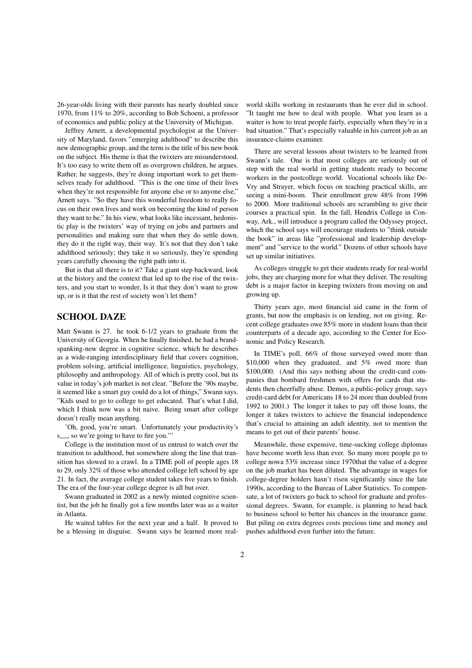26-year-olds living with their parents has nearly doubled since 1970, from 11% to 20%, according to Bob Schoeni, a professor of economics and public policy at the University of Michigan.

Jeffrey Arnett, a developmental psychologist at the University of Maryland, favors "emerging adulthood" to describe this new demographic group, and the term is the title of his new book on the subject. His theme is that the twixters are misunderstood. It's too easy to write them off as overgrown children, he argues. Rather, he suggests, they're doing important work to get themselves ready for adulthood. "This is the one time of their lives when they're not responsible for anyone else or to anyone else,' Arnett says. "So they have this wonderful freedom to really focus on their own lives and work on becoming the kind of person they want to be." In his view, what looks like incessant, hedonistic play is the twixters' way of trying on jobs and partners and personalities and making sure that when they do settle down, they do it the right way, their way. It's not that they don't take adulthood seriously; they take it so seriously, they're spending years carefully choosing the right path into it.

But is that all there is to it? Take a giant step backward, look at the history and the context that led up to the rise of the twixters, and you start to wonder, Is it that they don't want to grow up, or is it that the rest of society won't let them?

# SCHOOL DAZE

Matt Swann is 27. he took 6-1/2 years to graduate from the University of Georgia. When he finally finished, he had a brandspanking-new degree in cognitive science, which he describes as a wide-ranging interdisciplinary field that covers cognition, problem solving, artificial intelligence, linguistics, psychology, philosophy and anthropology. All of which is pretty cool, but its value in today's job market is not clear. "Before the '90s maybe, it seemed like a smart guy could do a lot of things," Swann says. "Kids used to go to college to get educated. That's what I did, which I think now was a bit naive. Being smart after college doesn't really mean anything.

'Oh, good, you're smart. Unfortunately your productivity's s..., so we're going to have to fire you."

College is the institution most of us entrust to watch over the transition to adulthood, but somewhere along the line that transition has slowed to a crawl. In a TIME poll of people ages 18 to 29, only 32% of those who attended college left school by age 21. In fact, the average college student takes five years to finish. The era of the four-year college degree is all but over.

Swann graduated in 2002 as a newly minted cognitive scientist, but the job he finally got a few months later was as a waiter in Atlanta.

He waited tables for the next year and a half. It proved to be a blessing in disguise. Swann says he learned more realworld skills working in restaurants than he ever did in school. "It taught me how to deal with people. What you learn as a waiter is how to treat people fairly, especially when they're in a bad situation." That's especially valuable in his current job as an insurance-claims examiner.

There are several lessons about twixters to be learned from Swann's tale. One is that most colleges are seriously out of step with the real world in getting students ready to become workers in the postcollege world. Vocational schools like De-Vry and Strayer, which focus on teaching practical skills, are seeing a mini-boom. Their enrollment grew 48% from 1996 to 2000. More traditional schools are scrambling to give their courses a practical spin. In the fall, Hendrix College in Conway, Ark., will introduce a program called the Odyssey project, which the school says will encourage students to "think outside the book" in areas like "professional and leadership development" and "service to the world." Dozens of other schools have set up similar initiatives.

As colleges struggle to get their students ready for real-world jobs, they are charging more for what they deliver. The resulting debt is a major factor in keeping twixters from moving on and growing up.

Thirty years ago, most financial aid came in the form of grants, but now the emphasis is on lending, not on giving. Recent college graduates owe 85% more in student loans than their counterparts of a decade ago, according to the Center for Economic and Policy Research.

In TIME's poll, 66% of those surveyed owed more than \$10,000 when they graduated, and 5% owed more than \$100,000. (And this says nothing about the credit-card companies that bombard freshmen with offers for cards that students then cheerfully abuse. Demos, a public-policy group, says credit-card debt for Americans 18 to 24 more than doubled from 1992 to 2001.) The longer it takes to pay off those loans, the longer it takes twixters to achieve the financial independence that's crucial to attaining an adult identity, not to mention the means to get out of their parents' house.

Meanwhile, those expensive, time-sucking college diplomas have become worth less than ever. So many more people go to college nowa 53% increase since 1970that the value of a degree on the job market has been diluted. The advantage in wages for college-degree holders hasn't risen significantly since the late 1990s, according to the Bureau of Labor Statistics. To compensate, a lot of twixters go back to school for graduate and professional degrees. Swann, for example, is planning to head back to business school to better his chances in the insurance game. But piling on extra degrees costs precious time and money and pushes adulthood even further into the future.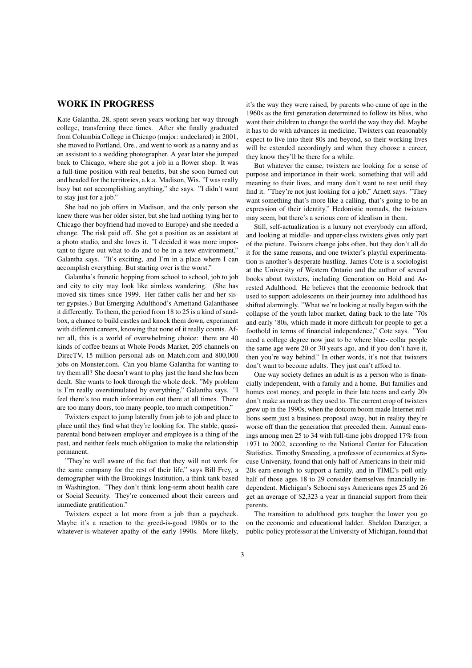#### WORK IN PROGRESS

Kate Galantha, 28, spent seven years working her way through college, transferring three times. After she finally graduated from Columbia College in Chicago (major: undeclared) in 2001, she moved to Portland, Ore., and went to work as a nanny and as an assistant to a wedding photographer. A year later she jumped back to Chicago, where she got a job in a flower shop. It was a full-time position with real benefits, but she soon burned out and headed for the territories, a.k.a. Madison, Wis. "I was really busy but not accomplishing anything," she says. "I didn't want to stay just for a job."

She had no job offers in Madison, and the only person she knew there was her older sister, but she had nothing tying her to Chicago (her boyfriend had moved to Europe) and she needed a change. The risk paid off. She got a position as an assistant at a photo studio, and she loves it. "I decided it was more important to figure out what to do and to be in a new environment," Galantha says. "It's exciting, and I'm in a place where I can accomplish everything. But starting over is the worst."

Galantha's frenetic hopping from school to school, job to job and city to city may look like aimless wandering. (She has moved six times since 1999. Her father calls her and her sister gypsies.) But Emerging Adulthood's Arnettand Galanthasee it differently. To them, the period from 18 to 25 is a kind of sandbox, a chance to build castles and knock them down, experiment with different careers, knowing that none of it really counts. After all, this is a world of overwhelming choice: there are 40 kinds of coffee beans at Whole Foods Market, 205 channels on DirecTV, 15 million personal ads on Match.com and 800,000 jobs on Monster.com. Can you blame Galantha for wanting to try them all? She doesn't want to play just the hand she has been dealt. She wants to look through the whole deck. "My problem is I'm really overstimulated by everything," Galantha says. "I feel there's too much information out there at all times. There are too many doors, too many people, too much competition."

Twixters expect to jump laterally from job to job and place to place until they find what they're looking for. The stable, quasiparental bond between employer and employee is a thing of the past, and neither feels much obligation to make the relationship permanent.

"They're well aware of the fact that they will not work for the same company for the rest of their life," says Bill Frey, a demographer with the Brookings Institution, a think tank based in Washington. "They don't think long-term about health care or Social Security. They're concerned about their careers and immediate gratification."

Twixters expect a lot more from a job than a paycheck. Maybe it's a reaction to the greed-is-good 1980s or to the whatever-is-whatever apathy of the early 1990s. More likely, it's the way they were raised, by parents who came of age in the 1960s as the first generation determined to follow its bliss, who want their children to change the world the way they did. Maybe it has to do with advances in medicine. Twixters can reasonably expect to live into their 80s and beyond, so their working lives will be extended accordingly and when they choose a career, they know they'll be there for a while.

But whatever the cause, twixters are looking for a sense of purpose and importance in their work, something that will add meaning to their lives, and many don't want to rest until they find it. "They're not just looking for a job," Arnett says. "They want something that's more like a calling, that's going to be an expression of their identity." Hedonistic nomads, the twixters may seem, but there's a serious core of idealism in them.

Still, self-actualization is a luxury not everybody can afford, and looking at middle- and upper-class twixters gives only part of the picture. Twixters change jobs often, but they don't all do it for the same reasons, and one twixter's playful experimentation is another's desperate hustling. James Cote is a sociologist at the University of Western Ontario and the author of several books about twixters, including Generation on Hold and Arrested Adulthood. He believes that the economic bedrock that used to support adolescents on their journey into adulthood has shifted alarmingly. "What we're looking at really began with the collapse of the youth labor market, dating back to the late '70s and early '80s, which made it more difficult for people to get a foothold in terms of financial independence," Cote says. "You need a college degree now just to be where blue- collar people the same age were 20 or 30 years ago, and if you don't have it, then you're way behind." In other words, it's not that twixters don't want to become adults. They just can't afford to.

One way society defines an adult is as a person who is financially independent, with a family and a home. But families and homes cost money, and people in their late teens and early 20s don't make as much as they used to. The current crop of twixters grew up in the 1990s, when the dotcom boom made Internet millions seem just a business proposal away, but in reality they're worse off than the generation that preceded them. Annual earnings among men 25 to 34 with full-time jobs dropped 17% from 1971 to 2002, according to the National Center for Education Statistics. Timothy Smeeding, a professor of economics at Syracuse University, found that only half of Americans in their mid-20s earn enough to support a family, and in TIME's poll only half of those ages 18 to 29 consider themselves financially independent. Michigan's Schoeni says Americans ages 25 and 26 get an average of \$2,323 a year in financial support from their parents.

The transition to adulthood gets tougher the lower you go on the economic and educational ladder. Sheldon Danziger, a public-policy professor at the University of Michigan, found that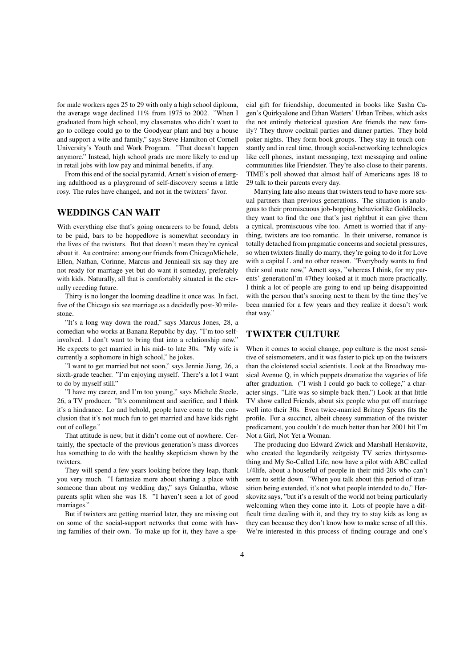for male workers ages 25 to 29 with only a high school diploma, the average wage declined 11% from 1975 to 2002. "When I graduated from high school, my classmates who didn't want to go to college could go to the Goodyear plant and buy a house and support a wife and family," says Steve Hamilton of Cornell University's Youth and Work Program. "That doesn't happen anymore." Instead, high school grads are more likely to end up in retail jobs with low pay and minimal benefits, if any.

From this end of the social pyramid, Arnett's vision of emerging adulthood as a playground of self-discovery seems a little rosy. The rules have changed, and not in the twixters' favor.

# WEDDINGS CAN WAIT

With everything else that's going oncareers to be found, debts to be paid, bars to be hoppedlove is somewhat secondary in the lives of the twixters. But that doesn't mean they're cynical about it. Au contraire: among our friends from ChicagoMichele, Ellen, Nathan, Corinne, Marcus and Jennieall six say they are not ready for marriage yet but do want it someday, preferably with kids. Naturally, all that is comfortably situated in the eternally receding future.

Thirty is no longer the looming deadline it once was. In fact, five of the Chicago six see marriage as a decidedly post-30 milestone.

"It's a long way down the road," says Marcus Jones, 28, a comedian who works at Banana Republic by day. "I'm too selfinvolved. I don't want to bring that into a relationship now." He expects to get married in his mid- to late 30s. "My wife is currently a sophomore in high school," he jokes.

"I want to get married but not soon," says Jennie Jiang, 26, a sixth-grade teacher. "I'm enjoying myself. There's a lot I want to do by myself still."

"I have my career, and I'm too young," says Michele Steele, 26, a TV producer. "It's commitment and sacrifice, and I think it's a hindrance. Lo and behold, people have come to the conclusion that it's not much fun to get married and have kids right out of college."

That attitude is new, but it didn't come out of nowhere. Certainly, the spectacle of the previous generation's mass divorces has something to do with the healthy skepticism shown by the twixters.

They will spend a few years looking before they leap, thank you very much. "I fantasize more about sharing a place with someone than about my wedding day," says Galantha, whose parents split when she was 18. "I haven't seen a lot of good marriages."

But if twixters are getting married later, they are missing out on some of the social-support networks that come with having families of their own. To make up for it, they have a special gift for friendship, documented in books like Sasha Cagen's Quirkyalone and Ethan Watters' Urban Tribes, which asks the not entirely rhetorical question Are friends the new family? They throw cocktail parties and dinner parties. They hold poker nights. They form book groups. They stay in touch constantly and in real time, through social-networking technologies like cell phones, instant messaging, text messaging and online communities like Friendster. They're also close to their parents. TIME's poll showed that almost half of Americans ages 18 to 29 talk to their parents every day.

Marrying late also means that twixters tend to have more sexual partners than previous generations. The situation is analogous to their promiscuous job-hopping behaviorlike Goldilocks, they want to find the one that's just rightbut it can give them a cynical, promiscuous vibe too. Arnett is worried that if anything, twixters are too romantic. In their universe, romance is totally detached from pragmatic concerns and societal pressures, so when twixters finally do marry, they're going to do it for Love with a capital L and no other reason. "Everybody wants to find their soul mate now," Arnett says, "whereas I think, for my parents' generationI'm 47they looked at it much more practically. I think a lot of people are going to end up being disappointed with the person that's snoring next to them by the time they've been married for a few years and they realize it doesn't work that way."

# TWIXTER CULTURE

When it comes to social change, pop culture is the most sensitive of seismometers, and it was faster to pick up on the twixters than the cloistered social scientists. Look at the Broadway musical Avenue Q, in which puppets dramatize the vagaries of life after graduation. ("I wish I could go back to college," a character sings. "Life was so simple back then.") Look at that little TV show called Friends, about six people who put off marriage well into their 30s. Even twice-married Britney Spears fits the profile. For a succinct, albeit cheesy summation of the twixter predicament, you couldn't do much better than her 2001 hit I'm Not a Girl, Not Yet a Woman.

The producing duo Edward Zwick and Marshall Herskovitz, who created the legendarily zeitgeisty TV series thirtysomething and My So-Called Life, now have a pilot with ABC called 1/4life, about a houseful of people in their mid-20s who can't seem to settle down. "When you talk about this period of transition being extended, it's not what people intended to do," Herskovitz says, "but it's a result of the world not being particularly welcoming when they come into it. Lots of people have a difficult time dealing with it, and they try to stay kids as long as they can because they don't know how to make sense of all this. We're interested in this process of finding courage and one's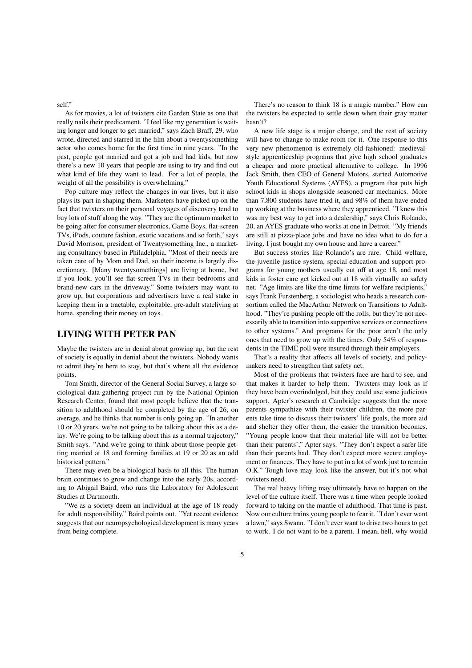self."

As for movies, a lot of twixters cite Garden State as one that really nails their predicament. "I feel like my generation is waiting longer and longer to get married," says Zach Braff, 29, who wrote, directed and starred in the film about a twentysomething actor who comes home for the first time in nine years. "In the past, people got married and got a job and had kids, but now there's a new 10 years that people are using to try and find out what kind of life they want to lead. For a lot of people, the weight of all the possibility is overwhelming."

Pop culture may reflect the changes in our lives, but it also plays its part in shaping them. Marketers have picked up on the fact that twixters on their personal voyages of discovery tend to buy lots of stuff along the way. "They are the optimum market to be going after for consumer electronics, Game Boys, flat-screen TVs, iPods, couture fashion, exotic vacations and so forth," says David Morrison, president of Twentysomething Inc., a marketing consultancy based in Philadelphia. "Most of their needs are taken care of by Mom and Dad, so their income is largely discretionary. [Many twentysomethings] are living at home, but if you look, you'll see flat-screen TVs in their bedrooms and brand-new cars in the driveway." Some twixters may want to grow up, but corporations and advertisers have a real stake in keeping them in a tractable, exploitable, pre-adult stateliving at home, spending their money on toys.

# LIVING WITH PETER PAN

Maybe the twixters are in denial about growing up, but the rest of society is equally in denial about the twixters. Nobody wants to admit they're here to stay, but that's where all the evidence points.

Tom Smith, director of the General Social Survey, a large sociological data-gathering project run by the National Opinion Research Center, found that most people believe that the transition to adulthood should be completed by the age of 26, on average, and he thinks that number is only going up. "In another 10 or 20 years, we're not going to be talking about this as a delay. We're going to be talking about this as a normal trajectory," Smith says. "And we're going to think about those people getting married at 18 and forming families at 19 or 20 as an odd historical pattern."

There may even be a biological basis to all this. The human brain continues to grow and change into the early 20s, according to Abigail Baird, who runs the Laboratory for Adolescent Studies at Dartmouth.

"We as a society deem an individual at the age of 18 ready for adult responsibility," Baird points out. "Yet recent evidence suggests that our neuropsychological development is many years from being complete.

There's no reason to think 18 is a magic number." How can the twixters be expected to settle down when their gray matter hasn't?

A new life stage is a major change, and the rest of society will have to change to make room for it. One response to this very new phenomenon is extremely old-fashioned: medievalstyle apprenticeship programs that give high school graduates a cheaper and more practical alternative to college. In 1996 Jack Smith, then CEO of General Motors, started Automotive Youth Educational Systems (AYES), a program that puts high school kids in shops alongside seasoned car mechanics. More than 7,800 students have tried it, and 98% of them have ended up working at the business where they apprenticed. "I knew this was my best way to get into a dealership," says Chris Rolando, 20, an AYES graduate who works at one in Detroit. "My friends are still at pizza-place jobs and have no idea what to do for a living. I just bought my own house and have a career."

But success stories like Rolando's are rare. Child welfare, the juvenile-justice system, special-education and support programs for young mothers usually cut off at age 18, and most kids in foster care get kicked out at 18 with virtually no safety net. "Age limits are like the time limits for welfare recipients," says Frank Furstenberg, a sociologist who heads a research consortium called the MacArthur Network on Transitions to Adulthood. "They're pushing people off the rolls, but they're not necessarily able to transition into supportive services or connections to other systems." And programs for the poor aren't the only ones that need to grow up with the times. Only 54% of respondents in the TIME poll were insured through their employers.

That's a reality that affects all levels of society, and policymakers need to strengthen that safety net.

Most of the problems that twixters face are hard to see, and that makes it harder to help them. Twixters may look as if they have been overindulged, but they could use some judicious support. Apter's research at Cambridge suggests that the more parents sympathize with their twixter children, the more parents take time to discuss their twixters' life goals, the more aid and shelter they offer them, the easier the transition becomes. "Young people know that their material life will not be better than their parents'," Apter says. "They don't expect a safer life than their parents had. They don't expect more secure employment or finances. They have to put in a lot of work just to remain O.K." Tough love may look like the answer, but it's not what twixters need.

The real heavy lifting may ultimately have to happen on the level of the culture itself. There was a time when people looked forward to taking on the mantle of adulthood. That time is past. Now our culture trains young people to fear it. "I don't ever want a lawn," says Swann. "I don't ever want to drive two hours to get to work. I do not want to be a parent. I mean, hell, why would